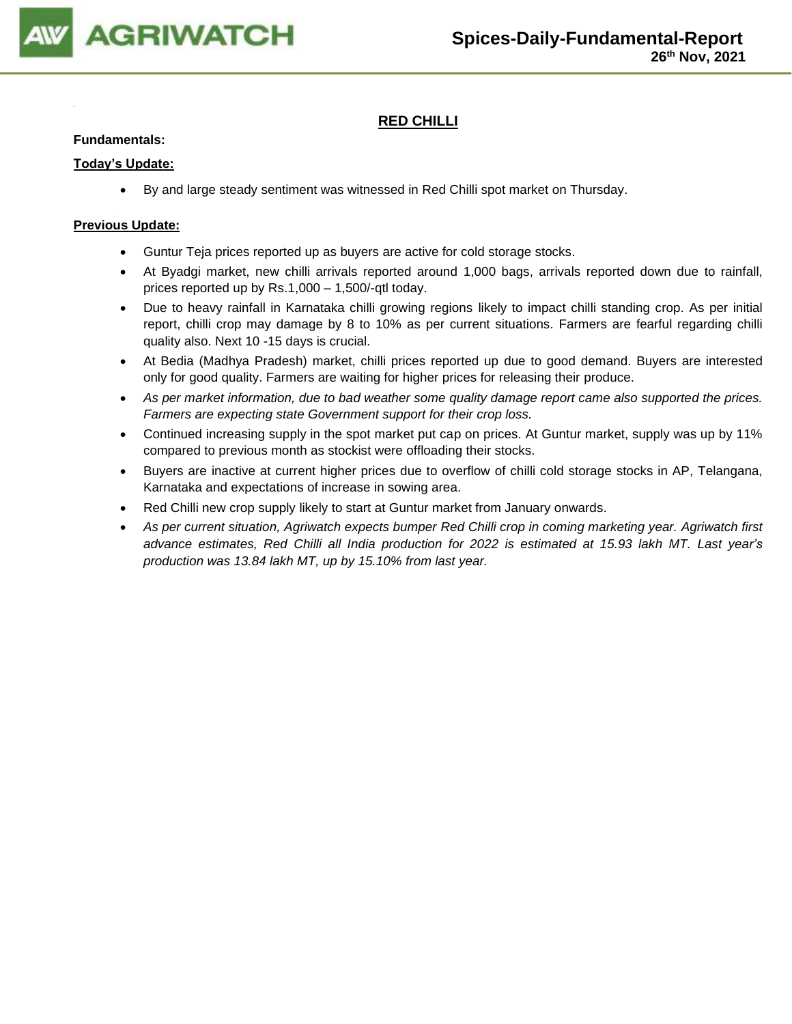

## **RED CHILLI**

## **Fundamentals:**

### **Today's Update:**

• By and large steady sentiment was witnessed in Red Chilli spot market on Thursday.

- Guntur Teja prices reported up as buyers are active for cold storage stocks.
- At Byadgi market, new chilli arrivals reported around 1,000 bags, arrivals reported down due to rainfall, prices reported up by Rs.1,000 – 1,500/-qtl today.
- Due to heavy rainfall in Karnataka chilli growing regions likely to impact chilli standing crop. As per initial report, chilli crop may damage by 8 to 10% as per current situations. Farmers are fearful regarding chilli quality also. Next 10 -15 days is crucial.
- At Bedia (Madhya Pradesh) market, chilli prices reported up due to good demand. Buyers are interested only for good quality. Farmers are waiting for higher prices for releasing their produce.
- *As per market information, due to bad weather some quality damage report came also supported the prices. Farmers are expecting state Government support for their crop loss.*
- Continued increasing supply in the spot market put cap on prices. At Guntur market, supply was up by 11% compared to previous month as stockist were offloading their stocks.
- Buyers are inactive at current higher prices due to overflow of chilli cold storage stocks in AP, Telangana, Karnataka and expectations of increase in sowing area.
- Red Chilli new crop supply likely to start at Guntur market from January onwards.
- *As per current situation, Agriwatch expects bumper Red Chilli crop in coming marketing year. Agriwatch first advance estimates, Red Chilli all India production for 2022 is estimated at 15.93 lakh MT. Last year's production was 13.84 lakh MT, up by 15.10% from last year.*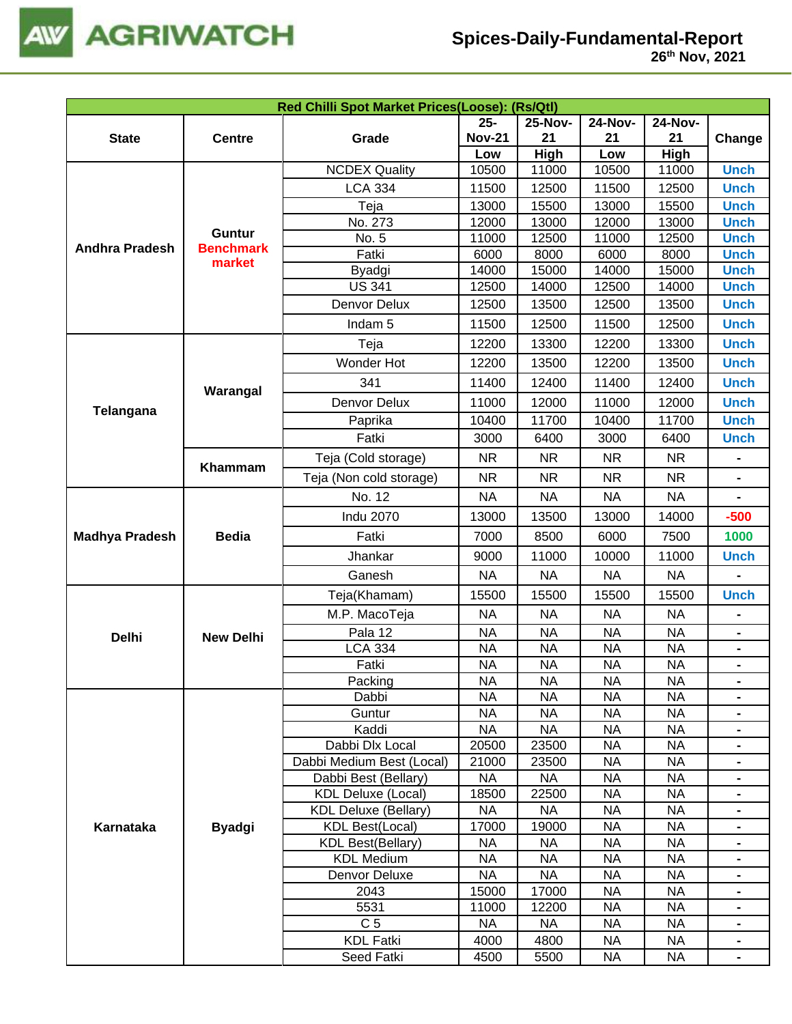

| Red Chilli Spot Market Prices(Loose): (Rs/Qtl) |                                   |                                                   |                    |                    |                        |                        |                              |  |  |
|------------------------------------------------|-----------------------------------|---------------------------------------------------|--------------------|--------------------|------------------------|------------------------|------------------------------|--|--|
|                                                |                                   |                                                   | $25 -$             | <b>25-Nov-</b>     | <b>24-Nov-</b>         | <b>24-Nov-</b>         |                              |  |  |
| <b>State</b>                                   | <b>Centre</b>                     | Grade                                             | <b>Nov-21</b>      | 21                 | 21                     | 21                     | Change                       |  |  |
|                                                |                                   |                                                   | Low                | High               | Low                    | High                   |                              |  |  |
|                                                |                                   | <b>NCDEX Quality</b>                              | 10500              | 11000              | 10500                  | 11000                  | <b>Unch</b>                  |  |  |
|                                                |                                   | <b>LCA 334</b>                                    | 11500              | 12500              | 11500                  | 12500                  | <b>Unch</b>                  |  |  |
|                                                |                                   | Teja                                              | 13000              | 15500              | 13000                  | 15500                  | <b>Unch</b>                  |  |  |
|                                                |                                   | No. 273                                           | 12000              | 13000              | 12000                  | 13000                  | <b>Unch</b>                  |  |  |
| <b>Andhra Pradesh</b>                          | <b>Guntur</b><br><b>Benchmark</b> | No. 5                                             | 11000              | 12500              | 11000                  | 12500                  | <b>Unch</b>                  |  |  |
|                                                | market                            | Fatki                                             | 6000               | 8000               | 6000                   | 8000                   | <b>Unch</b>                  |  |  |
|                                                |                                   | Byadgi                                            | 14000              | 15000              | 14000                  | 15000                  | <b>Unch</b>                  |  |  |
|                                                |                                   | <b>US 341</b>                                     | 12500              | 14000              | 12500                  | 14000                  | <b>Unch</b>                  |  |  |
|                                                |                                   | Denvor Delux                                      | 12500              | 13500              | 12500                  | 13500                  | <b>Unch</b>                  |  |  |
|                                                |                                   | Indam <sub>5</sub>                                | 11500              | 12500              | 11500                  | 12500                  | <b>Unch</b>                  |  |  |
|                                                |                                   | Teja                                              | 12200              | 13300              | 12200                  | 13300                  | <b>Unch</b>                  |  |  |
|                                                |                                   | Wonder Hot                                        | 12200              | 13500              | 12200                  | 13500                  | <b>Unch</b>                  |  |  |
|                                                | Warangal                          | 341                                               | 11400              | 12400              | 11400                  | 12400                  | <b>Unch</b>                  |  |  |
| Telangana                                      |                                   | Denvor Delux                                      | 11000              | 12000              | 11000                  | 12000                  | <b>Unch</b>                  |  |  |
|                                                |                                   | Paprika                                           | 10400              | 11700              | 10400                  | 11700                  | <b>Unch</b>                  |  |  |
|                                                |                                   | Fatki                                             | 3000               | 6400               | 3000                   | 6400                   | <b>Unch</b>                  |  |  |
|                                                |                                   | Teja (Cold storage)                               | <b>NR</b>          | <b>NR</b>          | <b>NR</b>              | <b>NR</b>              |                              |  |  |
|                                                | Khammam                           | Teja (Non cold storage)                           | <b>NR</b>          | <b>NR</b>          | <b>NR</b>              | <b>NR</b>              | $\qquad \qquad \blacksquare$ |  |  |
|                                                |                                   | No. 12                                            | <b>NA</b>          | <b>NA</b>          | <b>NA</b>              | <b>NA</b>              |                              |  |  |
|                                                |                                   | <b>Indu 2070</b>                                  | 13000              | 13500              | 13000                  | 14000                  | $-500$                       |  |  |
| <b>Madhya Pradesh</b>                          | <b>Bedia</b>                      | Fatki                                             | 7000               | 8500               | 6000                   | 7500                   | 1000                         |  |  |
|                                                |                                   | Jhankar                                           | 9000               | 11000              | 10000                  | 11000                  | <b>Unch</b>                  |  |  |
|                                                |                                   | Ganesh                                            | <b>NA</b>          | <b>NA</b>          | <b>NA</b>              | <b>NA</b>              |                              |  |  |
|                                                |                                   | Teja(Khamam)                                      | 15500              | 15500              | 15500                  | 15500                  | <b>Unch</b>                  |  |  |
|                                                |                                   | M.P. MacoTeja                                     | <b>NA</b>          | <b>NA</b>          | <b>NA</b>              | <b>NA</b>              |                              |  |  |
| <b>Delhi</b>                                   | <b>New Delhi</b>                  | Pala 12                                           | <b>NA</b>          | <b>NA</b>          | <b>NA</b>              | <b>NA</b>              | $\blacksquare$               |  |  |
|                                                |                                   | <b>LCA 334</b>                                    | <b>NA</b>          | <b>NA</b>          | <b>NA</b>              | <b>NA</b>              | $\blacksquare$               |  |  |
|                                                |                                   | Fatki                                             | <b>NA</b>          | <b>NA</b>          | <b>NA</b>              | <b>NA</b>              | $\blacksquare$               |  |  |
|                                                |                                   | Packing                                           | <b>NA</b>          | <b>NA</b>          | <b>NA</b>              | <b>NA</b>              |                              |  |  |
|                                                |                                   | Dabbi                                             | <b>NA</b>          | <b>NA</b>          | <b>NA</b>              | <b>NA</b>              |                              |  |  |
|                                                |                                   | Guntur                                            | <b>NA</b>          | <b>NA</b>          | <b>NA</b>              | <b>NA</b>              | $\blacksquare$               |  |  |
|                                                |                                   | Kaddi                                             | <b>NA</b>          | <b>NA</b>          | <b>NA</b>              | <b>NA</b>              |                              |  |  |
|                                                |                                   | Dabbi Dlx Local                                   | 20500              | 23500              | <b>NA</b>              | <b>NA</b>              |                              |  |  |
|                                                |                                   | Dabbi Medium Best (Local)                         | 21000              | 23500              | <b>NA</b>              | <b>NA</b>              | $\blacksquare$               |  |  |
|                                                |                                   | Dabbi Best (Bellary)<br><b>KDL Deluxe (Local)</b> | <b>NA</b><br>18500 | <b>NA</b><br>22500 | <b>NA</b><br><b>NA</b> | <b>NA</b><br><b>NA</b> |                              |  |  |
|                                                |                                   | <b>KDL Deluxe (Bellary)</b>                       | <b>NA</b>          | <b>NA</b>          | <b>NA</b>              | <b>NA</b>              | -<br>$\blacksquare$          |  |  |
| Karnataka                                      | <b>Byadgi</b>                     | <b>KDL Best(Local)</b>                            | 17000              | 19000              | <b>NA</b>              | <b>NA</b>              | $\blacksquare$               |  |  |
|                                                |                                   | <b>KDL Best(Bellary)</b>                          | <b>NA</b>          | <b>NA</b>          | <b>NA</b>              | <b>NA</b>              | $\blacksquare$               |  |  |
|                                                |                                   | <b>KDL Medium</b>                                 | <b>NA</b>          | <b>NA</b>          | <b>NA</b>              | <b>NA</b>              | $\blacksquare$               |  |  |
|                                                |                                   | Denvor Deluxe                                     | <b>NA</b>          | <b>NA</b>          | <b>NA</b>              | <b>NA</b>              |                              |  |  |
|                                                |                                   | 2043                                              | 15000              | 17000              | <b>NA</b>              | <b>NA</b>              |                              |  |  |
|                                                |                                   | 5531                                              | 11000              | 12200              | <b>NA</b>              | <b>NA</b>              | $\blacksquare$               |  |  |
|                                                |                                   | C <sub>5</sub>                                    | <b>NA</b>          | <b>NA</b>          | <b>NA</b>              | <b>NA</b>              | $\blacksquare$               |  |  |
|                                                |                                   | <b>KDL Fatki</b>                                  | 4000               | 4800               | <b>NA</b>              | <b>NA</b>              | $\blacksquare$               |  |  |
|                                                |                                   | Seed Fatki                                        | 4500               | 5500               | <b>NA</b>              | <b>NA</b>              | $\blacksquare$               |  |  |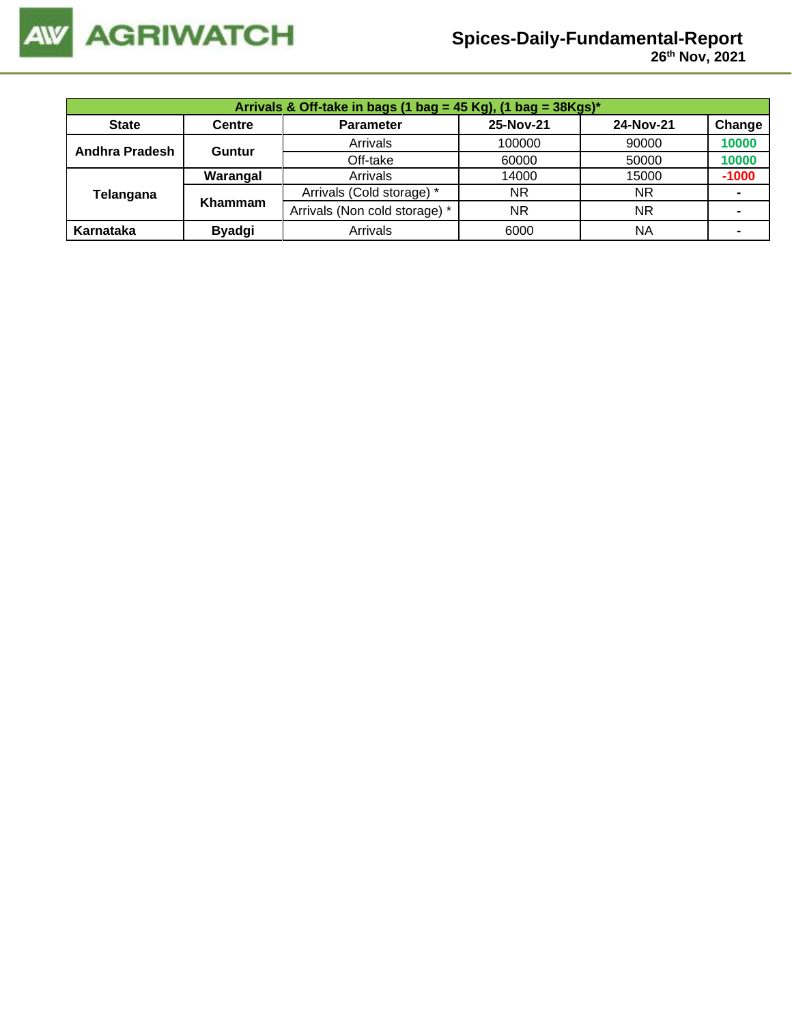

 **26 th Nov, 2021**

| Arrivals & Off-take in bags (1 bag = 45 Kg), (1 bag = $38Kgs$ )* |               |                               |           |           |                |  |  |
|------------------------------------------------------------------|---------------|-------------------------------|-----------|-----------|----------------|--|--|
| <b>State</b>                                                     | <b>Centre</b> | <b>Parameter</b>              | 25-Nov-21 | 24-Nov-21 | Change         |  |  |
| Andhra Pradesh                                                   | <b>Guntur</b> | Arrivals                      | 100000    | 90000     | 10000          |  |  |
|                                                                  |               | Off-take                      | 60000     | 50000     | 10000          |  |  |
|                                                                  | Warangal      | Arrivals                      | 14000     | 15000     | $-1000$        |  |  |
| Telangana                                                        | Khammam       | Arrivals (Cold storage) *     | NR.       | <b>NR</b> |                |  |  |
|                                                                  |               | Arrivals (Non cold storage) * | NR.       | <b>NR</b> |                |  |  |
| Karnataka                                                        | <b>Byadgi</b> | Arrivals                      | 6000      | ΝA        | $\blacksquare$ |  |  |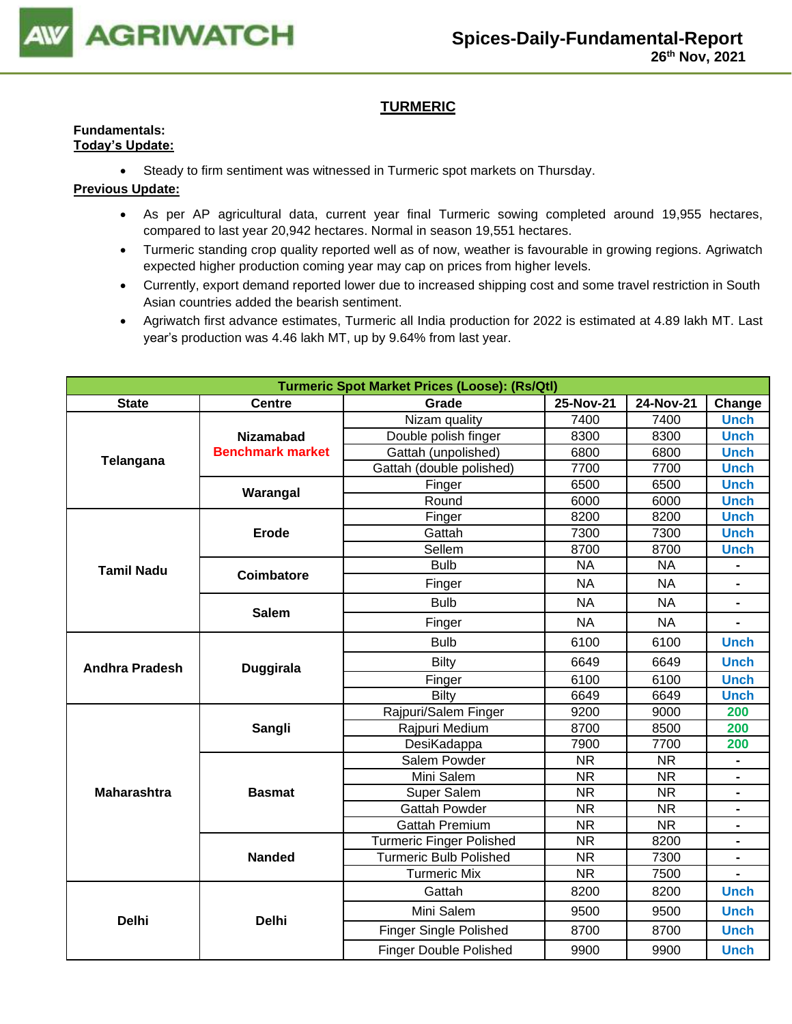

## **TURMERIC**

#### **Fundamentals: Today's Update:**

• Steady to firm sentiment was witnessed in Turmeric spot markets on Thursday.

- As per AP agricultural data, current year final Turmeric sowing completed around 19,955 hectares, compared to last year 20,942 hectares. Normal in season 19,551 hectares.
- Turmeric standing crop quality reported well as of now, weather is favourable in growing regions. Agriwatch expected higher production coming year may cap on prices from higher levels.
- Currently, export demand reported lower due to increased shipping cost and some travel restriction in South Asian countries added the bearish sentiment.
- Agriwatch first advance estimates, Turmeric all India production for 2022 is estimated at 4.89 lakh MT. Last year's production was 4.46 lakh MT, up by 9.64% from last year.

| <b>Turmeric Spot Market Prices (Loose): (Rs/Qtl)</b> |                         |                                 |                        |                        |                          |  |  |
|------------------------------------------------------|-------------------------|---------------------------------|------------------------|------------------------|--------------------------|--|--|
| <b>State</b>                                         | <b>Centre</b>           | Grade                           | 25-Nov-21              | 24-Nov-21              | Change                   |  |  |
|                                                      |                         | Nizam quality                   | 7400                   | 7400                   | <b>Unch</b>              |  |  |
|                                                      | <b>Nizamabad</b>        | Double polish finger            | 8300                   | 8300                   | <b>Unch</b>              |  |  |
| Telangana                                            | <b>Benchmark market</b> | Gattah (unpolished)             | 6800                   | 6800                   | <b>Unch</b>              |  |  |
|                                                      |                         | Gattah (double polished)        | 7700                   | 7700                   | <b>Unch</b>              |  |  |
|                                                      | Warangal                | Finger                          | 6500                   | 6500                   | <b>Unch</b>              |  |  |
|                                                      |                         | Round                           | 6000                   | 6000                   | <b>Unch</b>              |  |  |
|                                                      |                         | Finger                          | 8200                   | 8200                   | <b>Unch</b>              |  |  |
|                                                      | <b>Erode</b>            | Gattah                          | 7300                   | 7300                   | <b>Unch</b>              |  |  |
|                                                      |                         | Sellem                          | 8700                   | 8700                   | <b>Unch</b>              |  |  |
| <b>Tamil Nadu</b>                                    | Coimbatore              | <b>Bulb</b>                     | <b>NA</b>              | <b>NA</b>              |                          |  |  |
|                                                      |                         | Finger                          | <b>NA</b>              | <b>NA</b>              | $\overline{\phantom{0}}$ |  |  |
|                                                      | <b>Salem</b>            | <b>Bulb</b>                     | <b>NA</b>              | <b>NA</b>              | $\blacksquare$           |  |  |
|                                                      |                         | Finger                          | <b>NA</b>              | NA                     |                          |  |  |
|                                                      |                         | <b>Bulb</b>                     | 6100                   | 6100                   | <b>Unch</b>              |  |  |
| <b>Andhra Pradesh</b>                                | <b>Duggirala</b>        | Bilty                           | 6649                   | 6649                   | <b>Unch</b>              |  |  |
|                                                      |                         | Finger                          | 6100                   | 6100                   | <b>Unch</b>              |  |  |
|                                                      |                         | Bilty                           | 6649                   | 6649                   | <b>Unch</b>              |  |  |
|                                                      |                         | Rajpuri/Salem Finger            | 9200                   | 9000                   | 200                      |  |  |
|                                                      | Sangli                  | Rajpuri Medium                  | 8700                   | 8500                   | 200                      |  |  |
|                                                      |                         | DesiKadappa                     | 7900                   | 7700                   | 200                      |  |  |
|                                                      |                         | Salem Powder                    | <b>NR</b>              | <b>NR</b>              |                          |  |  |
|                                                      |                         | Mini Salem                      | <b>NR</b>              | <b>NR</b>              |                          |  |  |
| <b>Maharashtra</b>                                   | <b>Basmat</b>           | Super Salem                     | $\overline{\text{NR}}$ | $\overline{\text{NR}}$ | $\blacksquare$           |  |  |
|                                                      |                         | <b>Gattah Powder</b>            | <b>NR</b>              | <b>NR</b>              |                          |  |  |
|                                                      |                         | <b>Gattah Premium</b>           | <b>NR</b>              | <b>NR</b>              |                          |  |  |
|                                                      |                         | <b>Turmeric Finger Polished</b> | <b>NR</b>              | 8200                   |                          |  |  |
|                                                      | <b>Nanded</b>           | <b>Turmeric Bulb Polished</b>   | <b>NR</b>              | 7300                   | $\blacksquare$           |  |  |
|                                                      |                         | <b>Turmeric Mix</b>             | <b>NR</b>              | 7500                   | $\blacksquare$           |  |  |
|                                                      |                         | Gattah                          | 8200                   | 8200                   | <b>Unch</b>              |  |  |
| <b>Delhi</b>                                         | <b>Delhi</b>            | Mini Salem                      | 9500                   | 9500                   | <b>Unch</b>              |  |  |
|                                                      |                         | <b>Finger Single Polished</b>   | 8700                   | 8700                   | <b>Unch</b>              |  |  |
|                                                      |                         | <b>Finger Double Polished</b>   | 9900                   | 9900                   | <b>Unch</b>              |  |  |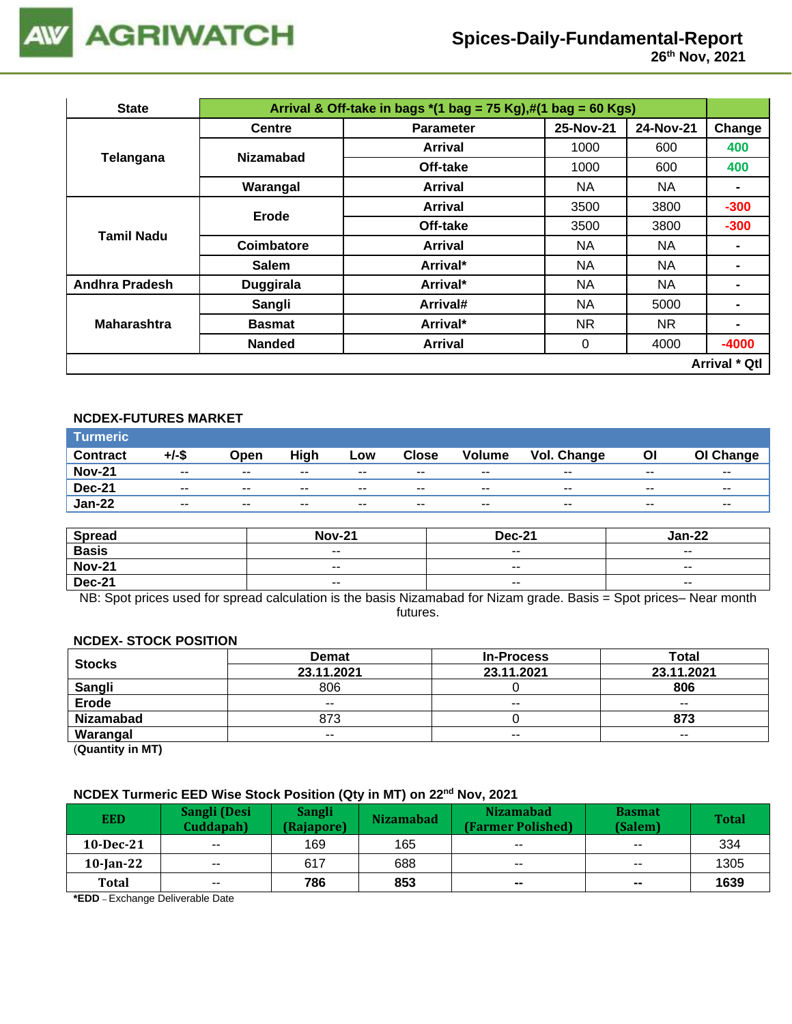

| <b>State</b>          | Arrival & Off-take in bags $*(1 \text{ bag} = 75 \text{ Kg}),\#(1 \text{ bag} = 60 \text{ Kg})$ |                  |           |           |                      |  |
|-----------------------|-------------------------------------------------------------------------------------------------|------------------|-----------|-----------|----------------------|--|
|                       | <b>Centre</b>                                                                                   | <b>Parameter</b> | 25-Nov-21 | 24-Nov-21 | Change               |  |
|                       | <b>Nizamabad</b>                                                                                | Arrival          | 1000      | 600       | 400                  |  |
| Telangana             |                                                                                                 | Off-take         | 1000      | 600       | 400                  |  |
|                       | Warangal                                                                                        | Arrival          | NA.       | NA        | $\blacksquare$       |  |
| <b>Tamil Nadu</b>     | Erode                                                                                           | Arrival          | 3500      | 3800      | $-300$               |  |
|                       |                                                                                                 | Off-take         | 3500      | 3800      | $-300$               |  |
|                       | Coimbatore                                                                                      | Arrival          | NA.       | NA        |                      |  |
|                       | <b>Salem</b>                                                                                    | Arrival*         | NA        | NA        |                      |  |
| <b>Andhra Pradesh</b> | <b>Duggirala</b>                                                                                | Arrival*         | <b>NA</b> | <b>NA</b> |                      |  |
|                       | Sangli                                                                                          | Arrival#         | <b>NA</b> | 5000      |                      |  |
| <b>Maharashtra</b>    | <b>Basmat</b>                                                                                   | Arrival*         | NR.       | NR.       |                      |  |
|                       | <b>Nanded</b>                                                                                   | <b>Arrival</b>   | 0         | 4000      | $-4000$              |  |
|                       |                                                                                                 |                  |           |           | <b>Arrival * Qtl</b> |  |

### **NCDEX-FUTURES MARKET**

| <b>Turmeric</b> |                          |               |       |       |               |                          |                    |                          |                          |
|-----------------|--------------------------|---------------|-------|-------|---------------|--------------------------|--------------------|--------------------------|--------------------------|
| <b>Contract</b> | $+/-$ \$                 | Open          | High  | Low   | <b>Close</b>  | <b>Volume</b>            | <b>Vol. Change</b> | Οl                       | OI Change                |
| <b>Nov-21</b>   | $\overline{\phantom{a}}$ | $\sim$ $\sim$ | $- -$ | $- -$ | $\sim$ $\sim$ | $\overline{\phantom{a}}$ | $- -$              | $\overline{\phantom{a}}$ | $- -$                    |
| <b>Dec-21</b>   | $\overline{\phantom{a}}$ | $- -$         | $- -$ | $- -$ | $- -$         | $- -$                    | $- -$              | $- -$                    | $\overline{\phantom{a}}$ |
| <b>Jan-22</b>   | $\overline{\phantom{a}}$ | $- -$         | $- -$ | $- -$ | $- -$         | $- -$                    | $- -$              | $- -$                    | $\sim$                   |

| <b>Spread</b> | <b>Nov-21</b> | <b>Dec-21</b>            | <b>Jan-22</b> |
|---------------|---------------|--------------------------|---------------|
| <b>Basis</b>  | $\sim$ $\sim$ | $- -$                    | $- -$         |
| <b>Nov-21</b> | $\sim$ $\sim$ | $\overline{\phantom{a}}$ | $- -$         |
| <b>Dec-21</b> | $\sim$ $\sim$ | $\sim$ $\sim$            | $- -$         |

NB: Spot prices used for spread calculation is the basis Nizamabad for Nizam grade. Basis = Spot prices– Near month futures.

### **NCDEX- STOCK POSITION**

| <b>Stocks</b>    | <b>Demat</b> | <b>In-Process</b>        | Total      |
|------------------|--------------|--------------------------|------------|
|                  | 23.11.2021   | 23.11.2021               | 23.11.2021 |
| <b>Sangli</b>    | 806          |                          | 806        |
| <b>Erode</b>     | $- -$        | $\overline{\phantom{m}}$ | $- -$      |
| <b>Nizamabad</b> | 873          |                          | 873        |
| Warangal         | $- -$        | $- -$                    | $- -$      |

(**Quantity in MT)**

## **NCDEX Turmeric EED Wise Stock Position (Qty in MT) on 22nd Nov, 2021**

| <b>EED</b>   | Sangli (Desi<br>Cuddapah) | <b>Sangli</b><br>(Rajapore) | <b>Nizamabad</b> | <b>Nizamabad</b><br>(Farmer Polished) | <b>Basmat</b><br>(Salem) | <b>Total</b> |
|--------------|---------------------------|-----------------------------|------------------|---------------------------------------|--------------------------|--------------|
| $10$ -Dec-21 | $\sim$ $\sim$             | 169                         | 165              | $- -$                                 | $\overline{\phantom{a}}$ | 334          |
| $10$ -Jan-22 | $\overline{\phantom{a}}$  | 617                         | 688              | $- -$                                 | $\sim$ $\sim$            | 1305         |
| <b>Total</b> | $\overline{\phantom{a}}$  | 786                         | 853              | $\sim$                                | $\sim$                   | 1639         |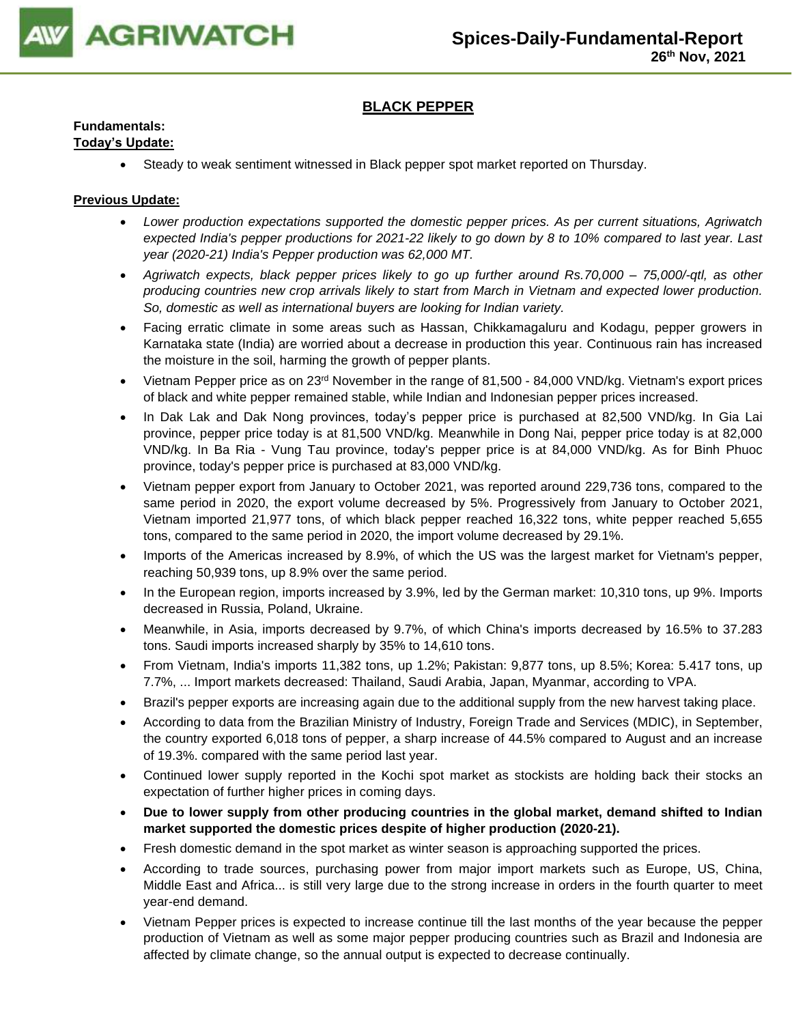

## **BLACK PEPPER**

## **Fundamentals:**

## **Today's Update:**

• Steady to weak sentiment witnessed in Black pepper spot market reported on Thursday.

- *Lower production expectations supported the domestic pepper prices. As per current situations, Agriwatch expected India's pepper productions for 2021-22 likely to go down by 8 to 10% compared to last year. Last year (2020-21) India's Pepper production was 62,000 MT.*
- *Agriwatch expects, black pepper prices likely to go up further around Rs.70,000 – 75,000/-qtl, as other producing countries new crop arrivals likely to start from March in Vietnam and expected lower production. So, domestic as well as international buyers are looking for Indian variety.*
- Facing erratic climate in some areas such as Hassan, Chikkamagaluru and Kodagu, pepper growers in Karnataka state (India) are worried about a decrease in production this year. Continuous rain has increased the moisture in the soil, harming the growth of pepper plants.
- Vietnam Pepper price as on 23<sup>rd</sup> November in the range of 81,500 84,000 VND/kg. Vietnam's export prices of black and white pepper remained stable, while Indian and Indonesian pepper prices increased.
- In Dak Lak and Dak Nong provinces, today's pepper price is purchased at 82,500 VND/kg. In Gia Lai province, pepper price today is at 81,500 VND/kg. Meanwhile in Dong Nai, pepper price today is at 82,000 VND/kg. In Ba Ria - Vung Tau province, today's pepper price is at 84,000 VND/kg. As for Binh Phuoc province, today's pepper price is purchased at 83,000 VND/kg.
- Vietnam pepper export from January to October 2021, was reported around 229,736 tons, compared to the same period in 2020, the export volume decreased by 5%. Progressively from January to October 2021, Vietnam imported 21,977 tons, of which black pepper reached 16,322 tons, white pepper reached 5,655 tons, compared to the same period in 2020, the import volume decreased by 29.1%.
- Imports of the Americas increased by 8.9%, of which the US was the largest market for Vietnam's pepper, reaching 50,939 tons, up 8.9% over the same period.
- In the European region, imports increased by 3.9%, led by the German market: 10,310 tons, up 9%. Imports decreased in Russia, Poland, Ukraine.
- Meanwhile, in Asia, imports decreased by 9.7%, of which China's imports decreased by 16.5% to 37.283 tons. Saudi imports increased sharply by 35% to 14,610 tons.
- From Vietnam, India's imports 11,382 tons, up 1.2%; Pakistan: 9,877 tons, up 8.5%; Korea: 5.417 tons, up 7.7%, ... Import markets decreased: Thailand, Saudi Arabia, Japan, Myanmar, according to VPA.
- Brazil's pepper exports are increasing again due to the additional supply from the new harvest taking place.
- According to data from the Brazilian Ministry of Industry, Foreign Trade and Services (MDIC), in September, the country exported 6,018 tons of pepper, a sharp increase of 44.5% compared to August and an increase of 19.3%. compared with the same period last year.
- Continued lower supply reported in the Kochi spot market as stockists are holding back their stocks an expectation of further higher prices in coming days.
- **Due to lower supply from other producing countries in the global market, demand shifted to Indian market supported the domestic prices despite of higher production (2020-21).**
- Fresh domestic demand in the spot market as winter season is approaching supported the prices.
- According to trade sources, purchasing power from major import markets such as Europe, US, China, Middle East and Africa... is still very large due to the strong increase in orders in the fourth quarter to meet year-end demand.
- Vietnam Pepper prices is expected to increase continue till the last months of the year because the pepper production of Vietnam as well as some major pepper producing countries such as Brazil and Indonesia are affected by climate change, so the annual output is expected to decrease continually.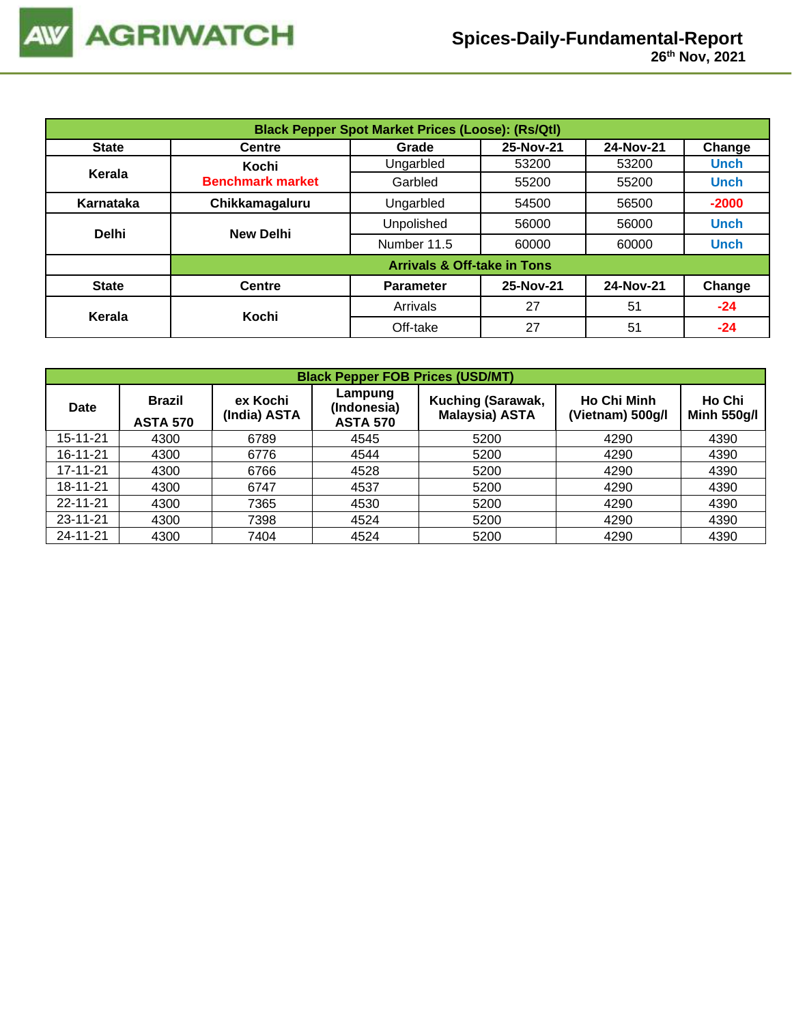|              | <b>Black Pepper Spot Market Prices (Loose): (Rs/Qtl)</b> |                                        |           |           |             |  |  |  |
|--------------|----------------------------------------------------------|----------------------------------------|-----------|-----------|-------------|--|--|--|
| <b>State</b> | <b>Centre</b>                                            | Grade                                  | 25-Nov-21 | 24-Nov-21 | Change      |  |  |  |
|              | Kochi                                                    | Ungarbled                              | 53200     | 53200     | <b>Unch</b> |  |  |  |
| Kerala       | <b>Benchmark market</b>                                  | Garbled                                | 55200     | 55200     | <b>Unch</b> |  |  |  |
| Karnataka    | Chikkamagaluru                                           | Ungarbled                              | 54500     | 56500     | $-2000$     |  |  |  |
| <b>Delhi</b> | <b>New Delhi</b>                                         | Unpolished                             | 56000     | 56000     | <b>Unch</b> |  |  |  |
|              |                                                          | Number 11.5                            | 60000     | 60000     | <b>Unch</b> |  |  |  |
|              |                                                          | <b>Arrivals &amp; Off-take in Tons</b> |           |           |             |  |  |  |
| <b>State</b> | <b>Centre</b>                                            | <b>Parameter</b>                       | 25-Nov-21 | 24-Nov-21 | Change      |  |  |  |
| Kerala       | Kochi                                                    | Arrivals                               | 27        | 51        | $-24$       |  |  |  |
|              |                                                          | Off-take                               | 27        | 51        | -24         |  |  |  |

|                | <b>Black Pepper FOB Prices (USD/MT)</b> |                          |                                           |                                                   |                                        |                              |  |  |  |  |  |
|----------------|-----------------------------------------|--------------------------|-------------------------------------------|---------------------------------------------------|----------------------------------------|------------------------------|--|--|--|--|--|
| <b>Date</b>    | <b>Brazil</b><br><b>ASTA 570</b>        | ex Kochi<br>(India) ASTA | Lampung<br>(Indonesia)<br><b>ASTA 570</b> | <b>Kuching (Sarawak,</b><br><b>Malaysia) ASTA</b> | <b>Ho Chi Minh</b><br>(Vietnam) 500g/l | Ho Chi<br><b>Minh 550g/l</b> |  |  |  |  |  |
| 15-11-21       | 4300                                    | 6789                     | 4545                                      | 5200                                              | 4290                                   | 4390                         |  |  |  |  |  |
| 16-11-21       | 4300                                    | 6776                     | 4544                                      | 5200                                              | 4290                                   | 4390                         |  |  |  |  |  |
| 17-11-21       | 4300                                    | 6766                     | 4528                                      | 5200                                              | 4290                                   | 4390                         |  |  |  |  |  |
| 18-11-21       | 4300                                    | 6747                     | 4537                                      | 5200                                              | 4290                                   | 4390                         |  |  |  |  |  |
| $22 - 11 - 21$ | 4300                                    | 7365                     | 4530                                      | 5200                                              | 4290                                   | 4390                         |  |  |  |  |  |
| 23-11-21       | 4300                                    | 7398                     | 4524                                      | 5200                                              | 4290                                   | 4390                         |  |  |  |  |  |
| 24-11-21       | 4300                                    | 7404                     | 4524                                      | 5200                                              | 4290                                   | 4390                         |  |  |  |  |  |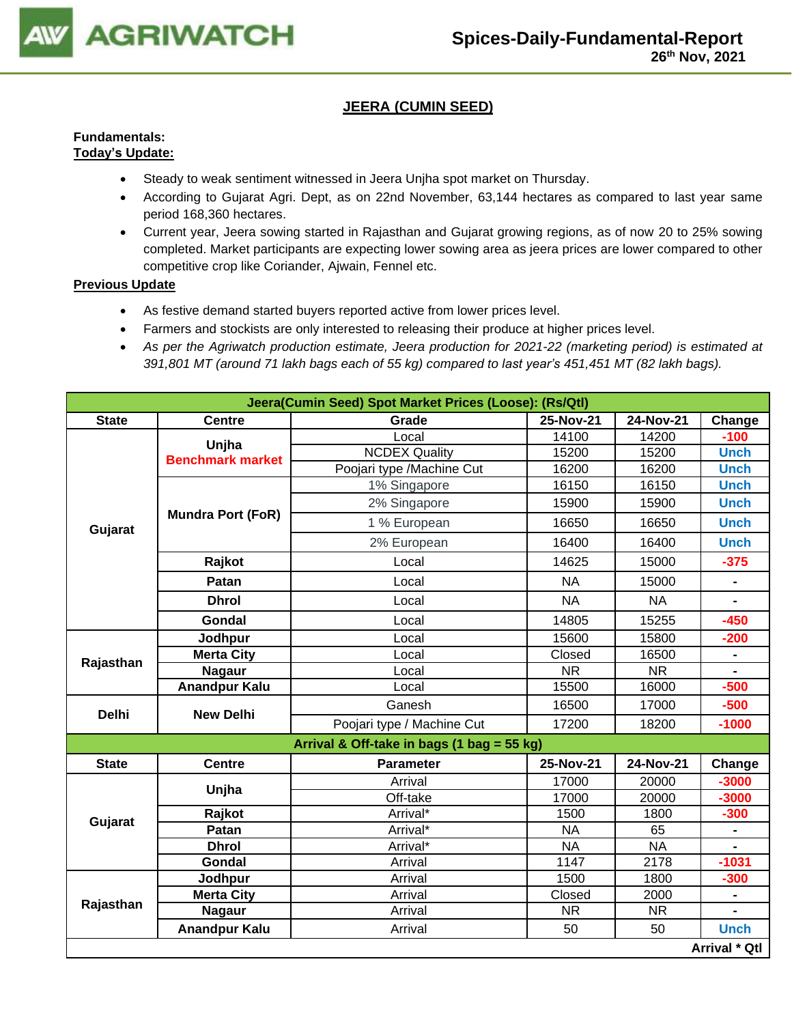

## **JEERA (CUMIN SEED)**

### **Fundamentals: Today's Update:**

- Steady to weak sentiment witnessed in Jeera Unjha spot market on Thursday.
- According to Gujarat Agri. Dept, as on 22nd November, 63,144 hectares as compared to last year same period 168,360 hectares.
- Current year, Jeera sowing started in Rajasthan and Gujarat growing regions, as of now 20 to 25% sowing completed. Market participants are expecting lower sowing area as jeera prices are lower compared to other competitive crop like Coriander, Ajwain, Fennel etc.

- As festive demand started buyers reported active from lower prices level.
- Farmers and stockists are only interested to releasing their produce at higher prices level.
- *As per the Agriwatch production estimate, Jeera production for 2021-22 (marketing period) is estimated at 391,801 MT (around 71 lakh bags each of 55 kg) compared to last year's 451,451 MT (82 lakh bags).*

| Jeera(Cumin Seed) Spot Market Prices (Loose): (Rs/Qtl) |                          |                                            |           |           |               |  |  |  |
|--------------------------------------------------------|--------------------------|--------------------------------------------|-----------|-----------|---------------|--|--|--|
| <b>State</b>                                           | <b>Centre</b>            | Grade                                      | 25-Nov-21 | 24-Nov-21 | Change        |  |  |  |
|                                                        | Unjha                    | Local                                      | 14100     | 14200     | $-100$        |  |  |  |
|                                                        | <b>Benchmark market</b>  | <b>NCDEX Quality</b>                       | 15200     | 15200     | <b>Unch</b>   |  |  |  |
|                                                        |                          | Poojari type /Machine Cut                  | 16200     | 16200     | <b>Unch</b>   |  |  |  |
|                                                        |                          | 1% Singapore                               | 16150     | 16150     | <b>Unch</b>   |  |  |  |
|                                                        |                          | 2% Singapore                               | 15900     | 15900     | <b>Unch</b>   |  |  |  |
| Gujarat                                                | <b>Mundra Port (FoR)</b> | 1 % European                               | 16650     | 16650     | <b>Unch</b>   |  |  |  |
|                                                        |                          | 2% European                                | 16400     | 16400     | <b>Unch</b>   |  |  |  |
|                                                        | Rajkot                   | Local                                      | 14625     | 15000     | $-375$        |  |  |  |
|                                                        | Patan                    | Local                                      | <b>NA</b> | 15000     |               |  |  |  |
|                                                        | <b>Dhrol</b>             | Local                                      | <b>NA</b> | <b>NA</b> |               |  |  |  |
|                                                        | Gondal                   | Local                                      | 14805     | 15255     | $-450$        |  |  |  |
|                                                        | Jodhpur                  | Local                                      | 15600     | 15800     | $-200$        |  |  |  |
| Rajasthan                                              | <b>Merta City</b>        | Local                                      | Closed    | 16500     |               |  |  |  |
|                                                        | <b>Nagaur</b>            | Local                                      | <b>NR</b> | <b>NR</b> |               |  |  |  |
|                                                        | <b>Anandpur Kalu</b>     | Local                                      | 15500     | 16000     | $-500$        |  |  |  |
| <b>Delhi</b>                                           | <b>New Delhi</b>         | Ganesh                                     | 16500     | 17000     | $-500$        |  |  |  |
|                                                        |                          | Poojari type / Machine Cut                 | 17200     | 18200     | $-1000$       |  |  |  |
|                                                        |                          | Arrival & Off-take in bags (1 bag = 55 kg) |           |           |               |  |  |  |
| <b>State</b>                                           | <b>Centre</b>            | <b>Parameter</b>                           | 25-Nov-21 | 24-Nov-21 | Change        |  |  |  |
|                                                        |                          | Arrival                                    | 17000     | 20000     | $-3000$       |  |  |  |
|                                                        | Unjha                    | Off-take                                   | 17000     | 20000     | $-3000$       |  |  |  |
|                                                        | Rajkot                   | Arrival*                                   | 1500      | 1800      | $-300$        |  |  |  |
| Gujarat                                                | Patan                    | Arrival*                                   | <b>NA</b> | 65        |               |  |  |  |
|                                                        | <b>Dhrol</b>             | Arrival*                                   | <b>NA</b> | <b>NA</b> |               |  |  |  |
|                                                        | Gondal                   | Arrival                                    | 1147      | 2178      | $-1031$       |  |  |  |
|                                                        | Jodhpur                  | Arrival                                    | 1500      | 1800      | $-300$        |  |  |  |
|                                                        | <b>Merta City</b>        | Arrival                                    | Closed    | 2000      |               |  |  |  |
| Rajasthan                                              | <b>Nagaur</b>            | Arrival                                    | <b>NR</b> | <b>NR</b> |               |  |  |  |
|                                                        | <b>Anandpur Kalu</b>     | Arrival                                    | 50        | 50        | <b>Unch</b>   |  |  |  |
|                                                        |                          |                                            |           |           | Arrival * Qtl |  |  |  |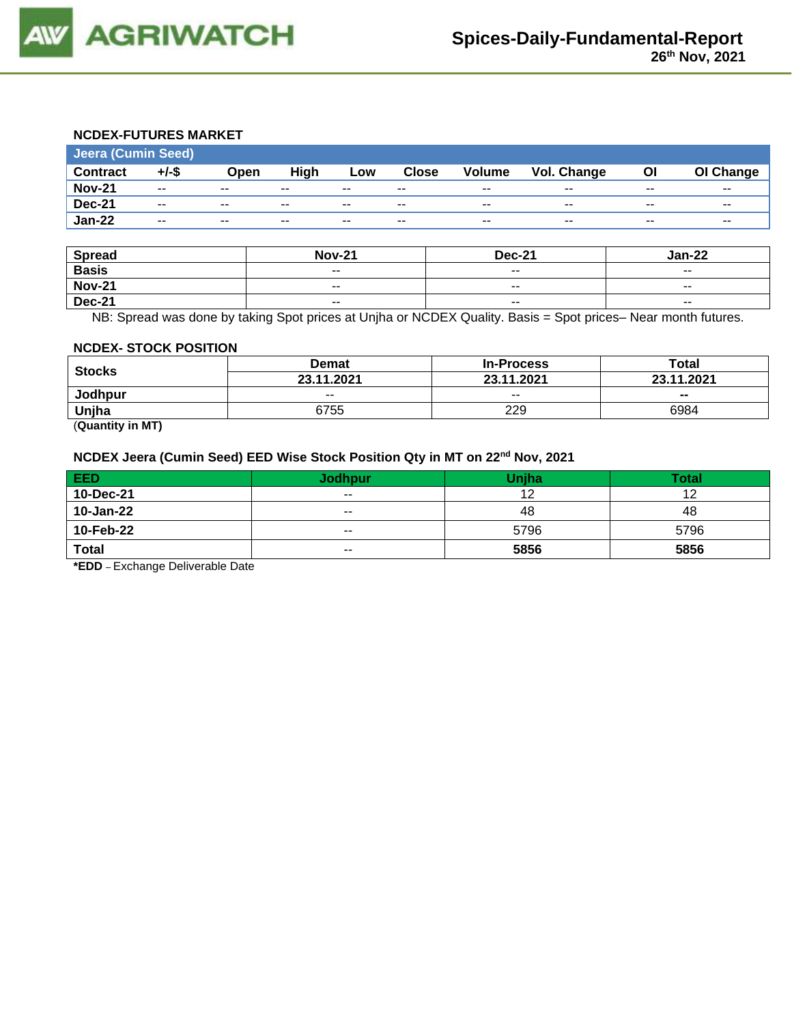

## **NCDEX-FUTURES MARKET**

| <b>Contract</b><br>$+/-$ \$<br>High<br><b>Close</b><br>Vol. Change<br><b>Volume</b><br>Οl<br>Open<br>Low                 | OI Change                |
|--------------------------------------------------------------------------------------------------------------------------|--------------------------|
| <b>Nov-21</b><br>$\overline{\phantom{a}}$<br>$\sim$ $\sim$<br>$\sim$ $\sim$<br>$- -$<br>$- -$<br>$- -$<br>$- -$<br>$- -$ | $\overline{\phantom{a}}$ |
| <b>Dec-21</b><br>$- -$<br>$\overline{\phantom{a}}$<br>$- -$<br>$\sim$ $\sim$<br>$- -$<br>$- -$<br>$- -$<br>$- -$         | $- -$                    |
| <b>Jan-22</b><br>$- -$<br>$\sim$ $\sim$<br>$- -$<br>$- -$<br>$- -$<br>$- -$<br>$-$<br>$- -$                              | $- -$                    |

| Spread        | <b>Nov-21</b>            | <b>Dec-21</b> | Jan-22 |
|---------------|--------------------------|---------------|--------|
| <b>Basis</b>  | $- -$                    | $- -$         | $- -$  |
| <b>Nov-21</b> | $\overline{\phantom{a}}$ | $- -$         | $- -$  |
| <b>Dec-21</b> | $\overline{\phantom{a}}$ | $- -$         | $- -$  |

NB: Spread was done by taking Spot prices at Unjha or NCDEX Quality. Basis = Spot prices– Near month futures.

#### **NCDEX- STOCK POSITION**

| <b>Stocks</b>  | Demat      | <b>In-Process</b> | Total      |  |
|----------------|------------|-------------------|------------|--|
|                | 23.11.2021 | 23.11.2021        | 23.11.2021 |  |
| <b>Jodhpur</b> | $- -$      | $- -$             | $- -$      |  |
| Unjha          | 6755       | 229               | 6984       |  |
| _______        |            |                   |            |  |

(**Quantity in MT)**

## **NCDEX Jeera (Cumin Seed) EED Wise Stock Position Qty in MT on 22nd Nov, 2021**

| EED          | Jodhpur                  | <b>Uniha</b> | <b>Total</b> |
|--------------|--------------------------|--------------|--------------|
| 10-Dec-21    | $\sim$ $\sim$            |              | 10           |
| 10-Jan-22    | $\overline{\phantom{a}}$ | 48           | 48           |
| 10-Feb-22    | $\overline{\phantom{a}}$ | 5796         | 5796         |
| <b>Total</b> | $- -$                    | 5856         | 5856         |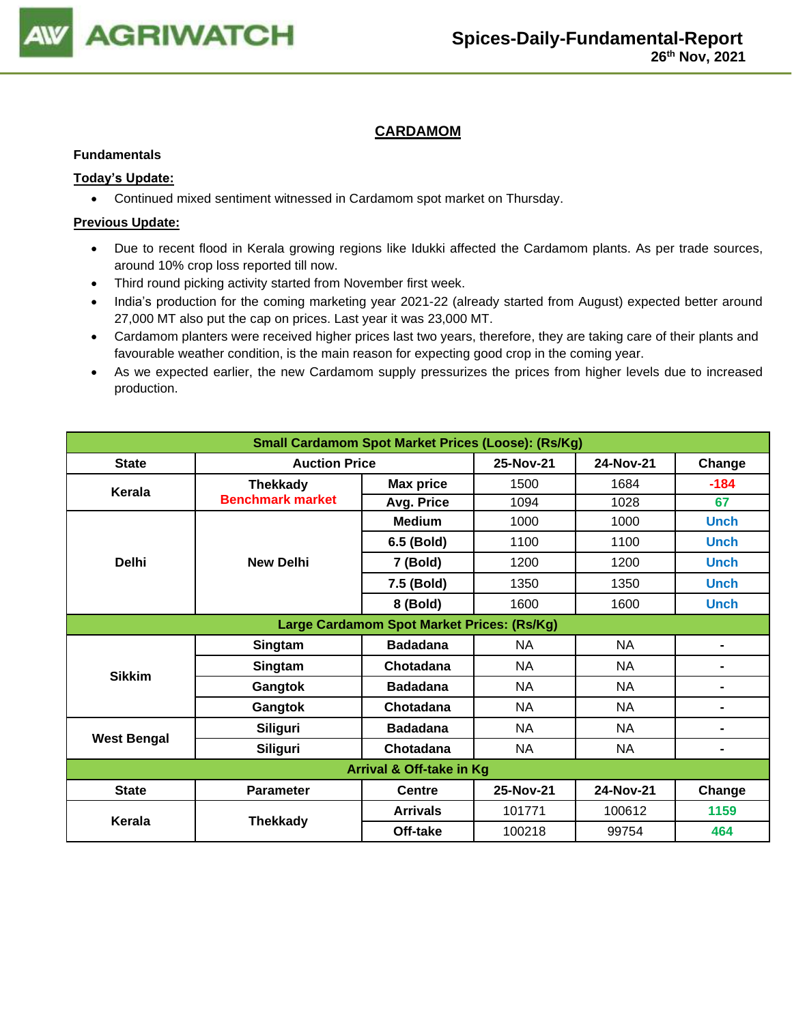

## **CARDAMOM**

#### **Fundamentals**

## **Today's Update:**

• Continued mixed sentiment witnessed in Cardamom spot market on Thursday.

- Due to recent flood in Kerala growing regions like Idukki affected the Cardamom plants. As per trade sources, around 10% crop loss reported till now.
- Third round picking activity started from November first week.
- India's production for the coming marketing year 2021-22 (already started from August) expected better around 27,000 MT also put the cap on prices. Last year it was 23,000 MT.
- Cardamom planters were received higher prices last two years, therefore, they are taking care of their plants and favourable weather condition, is the main reason for expecting good crop in the coming year.
- As we expected earlier, the new Cardamom supply pressurizes the prices from higher levels due to increased production.

| <b>Small Cardamom Spot Market Prices (Loose): (Rs/Kg)</b> |                                            |                  |           |           |                |  |  |  |
|-----------------------------------------------------------|--------------------------------------------|------------------|-----------|-----------|----------------|--|--|--|
| <b>State</b>                                              | <b>Auction Price</b>                       |                  | 25-Nov-21 | 24-Nov-21 | Change         |  |  |  |
| Kerala                                                    | <b>Thekkady</b>                            | <b>Max price</b> | 1500      | 1684      | $-184$         |  |  |  |
|                                                           | <b>Benchmark market</b>                    | Avg. Price       | 1094      | 1028      | 67             |  |  |  |
|                                                           |                                            | <b>Medium</b>    | 1000      | 1000      | <b>Unch</b>    |  |  |  |
|                                                           |                                            | 6.5 (Bold)       | 1100      | 1100      | <b>Unch</b>    |  |  |  |
| <b>Delhi</b>                                              | <b>New Delhi</b>                           | 7 (Bold)         | 1200      | 1200      | <b>Unch</b>    |  |  |  |
|                                                           |                                            | 7.5 (Bold)       | 1350      | 1350      | <b>Unch</b>    |  |  |  |
|                                                           |                                            | 8 (Bold)         | 1600      | 1600      | <b>Unch</b>    |  |  |  |
|                                                           | Large Cardamom Spot Market Prices: (Rs/Kg) |                  |           |           |                |  |  |  |
|                                                           | Singtam                                    | <b>Badadana</b>  | <b>NA</b> | <b>NA</b> | $\blacksquare$ |  |  |  |
| <b>Sikkim</b>                                             | Singtam                                    | Chotadana        | <b>NA</b> | <b>NA</b> |                |  |  |  |
|                                                           | Gangtok                                    | <b>Badadana</b>  | <b>NA</b> | <b>NA</b> | $\blacksquare$ |  |  |  |
|                                                           | Gangtok                                    | Chotadana        | <b>NA</b> | <b>NA</b> | $\blacksquare$ |  |  |  |
|                                                           | <b>Siliguri</b>                            | <b>Badadana</b>  | NA.       | NA        | $\blacksquare$ |  |  |  |
| <b>West Bengal</b>                                        | <b>Siliguri</b>                            | Chotadana        | <b>NA</b> | <b>NA</b> | $\blacksquare$ |  |  |  |
| Arrival & Off-take in Kg                                  |                                            |                  |           |           |                |  |  |  |
| <b>State</b>                                              | <b>Parameter</b>                           | <b>Centre</b>    | 25-Nov-21 | 24-Nov-21 | Change         |  |  |  |
|                                                           |                                            | <b>Arrivals</b>  | 101771    | 100612    | 1159           |  |  |  |
| Kerala                                                    | <b>Thekkady</b>                            | Off-take         | 100218    | 99754     | 464            |  |  |  |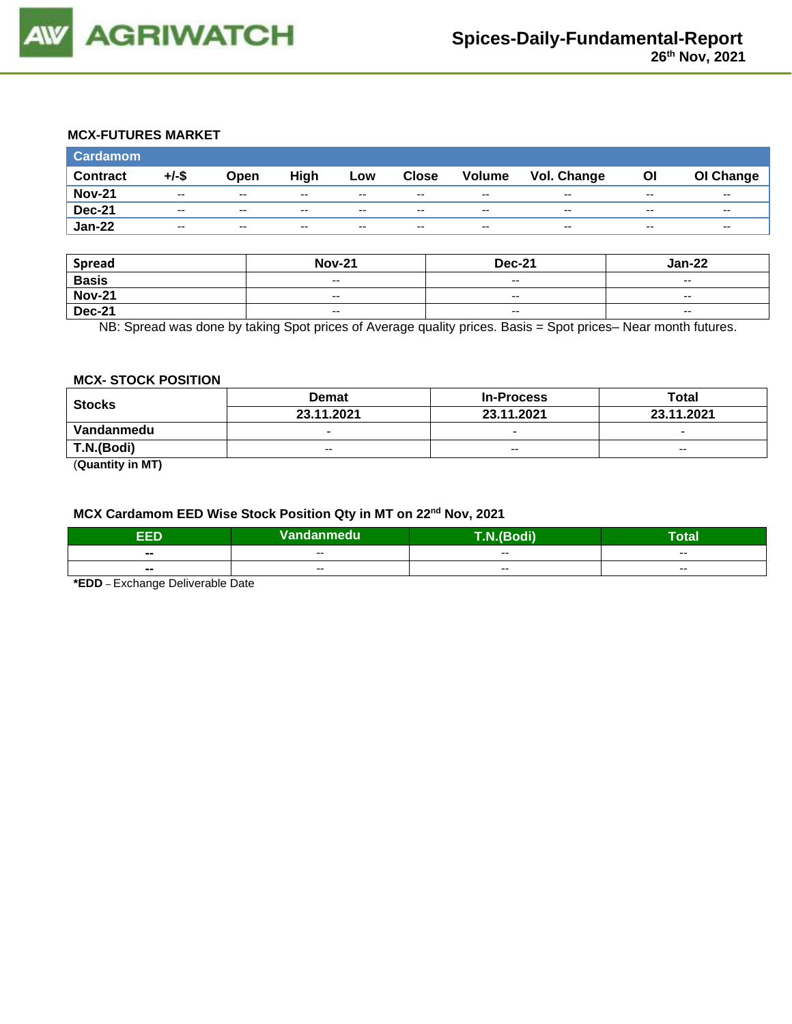

## **MCX-FUTURES MARKET**

| <b>Cardamom</b> |       |                          |       |       |              |                          |                    |       |           |
|-----------------|-------|--------------------------|-------|-------|--------------|--------------------------|--------------------|-------|-----------|
| <b>Contract</b> | +/-\$ | Open                     | High  | Low   | <b>Close</b> | Volume                   | <b>Vol. Change</b> | Οl    | OI Change |
| <b>Nov-21</b>   | $- -$ | $\overline{\phantom{a}}$ | $- -$ | $- -$ | $- -$        | $\overline{\phantom{a}}$ | $- -$              | $- -$ | $- -$     |
| <b>Dec-21</b>   | $- -$ | $\overline{\phantom{a}}$ | $- -$ | $- -$ | $- -$        | $\overline{\phantom{a}}$ | $- -$              | $- -$ | $- -$     |
| <b>Jan-22</b>   | $- -$ | $\overline{\phantom{a}}$ | $- -$ | $- -$ | $- -$        | $\overline{\phantom{a}}$ | $- -$              | $- -$ | $- -$     |

| <b>Spread</b> | <b>Nov-21</b>            | <b>Dec-21</b> | <b>Jan-22</b>            |
|---------------|--------------------------|---------------|--------------------------|
| <b>Basis</b>  | $\overline{\phantom{a}}$ | $- -$         | $\overline{\phantom{a}}$ |
| <b>Nov-21</b> | $\overline{\phantom{m}}$ | $- -$         | $-$                      |
| <b>Dec-21</b> | $\overline{\phantom{a}}$ | $- -$         | $- -$                    |

NB: Spread was done by taking Spot prices of Average quality prices. Basis = Spot prices– Near month futures.

#### **MCX- STOCK POSITION**

| <b>Stocks</b>                                  | <b>Demat</b>             | <b>In-Process</b>        | Total                    |  |
|------------------------------------------------|--------------------------|--------------------------|--------------------------|--|
|                                                | 23.11.2021               | 23.11.2021               | 23.11.2021               |  |
| Vandanmedu                                     | $\overline{\phantom{0}}$ | $\overline{\phantom{0}}$ | $\overline{\phantom{0}}$ |  |
| T.N.(Bodi)                                     | $- -$                    | $\sim$ $\sim$            | $\sim$ $\sim$            |  |
| $\mathbf{A}$ and $\mathbf{A}$ and $\mathbf{A}$ |                          |                          |                          |  |

(**Quantity in MT)**

#### **MCX Cardamom EED Wise Stock Position Qty in MT on 22nd Nov, 2021**

| <b>EED</b>     | Vandanmedu | T.N.(Bodi) | Гоtal |
|----------------|------------|------------|-------|
| $\sim$         | $- -$      | $- -$      | $- -$ |
| $\blacksquare$ | $- -$      | $- -$      | $- -$ |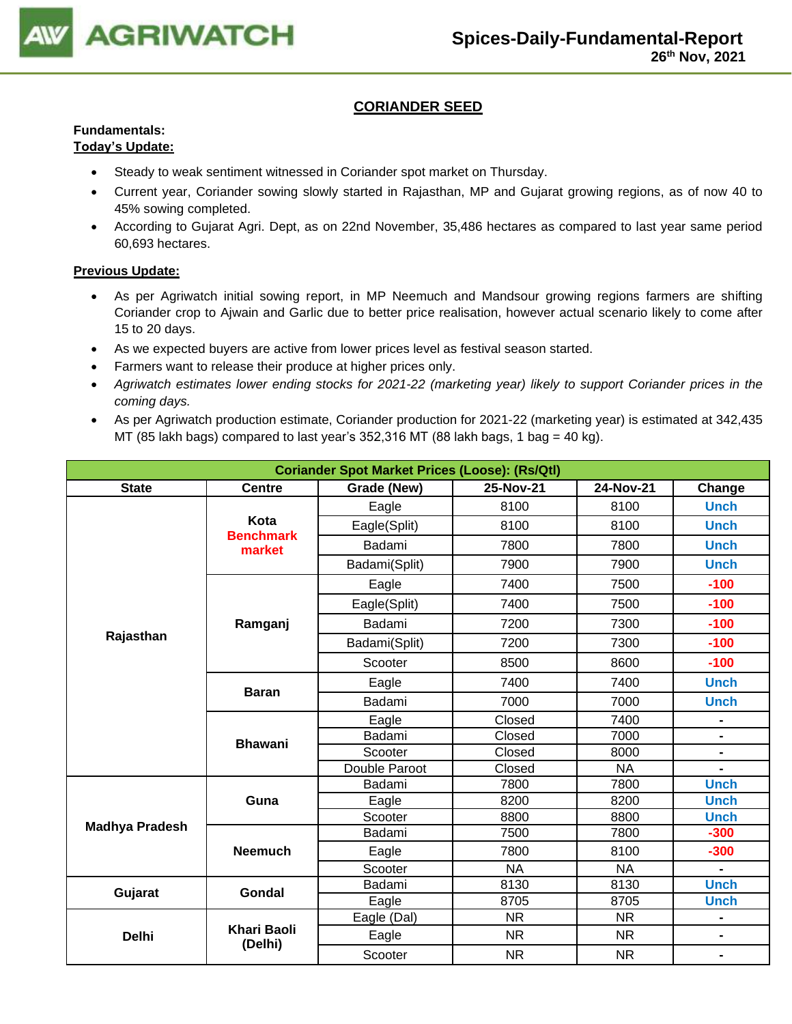

## **CORIANDER SEED**

# **Fundamentals:**

## **Today's Update:**

- Steady to weak sentiment witnessed in Coriander spot market on Thursday.
- Current year, Coriander sowing slowly started in Rajasthan, MP and Gujarat growing regions, as of now 40 to 45% sowing completed.
- According to Gujarat Agri. Dept, as on 22nd November, 35,486 hectares as compared to last year same period 60,693 hectares.

- As per Agriwatch initial sowing report, in MP Neemuch and Mandsour growing regions farmers are shifting Coriander crop to Ajwain and Garlic due to better price realisation, however actual scenario likely to come after 15 to 20 days.
- As we expected buyers are active from lower prices level as festival season started.
- Farmers want to release their produce at higher prices only.
- *Agriwatch estimates lower ending stocks for 2021-22 (marketing year) likely to support Coriander prices in the coming days.*
- As per Agriwatch production estimate, Coriander production for 2021-22 (marketing year) is estimated at 342,435 MT (85 lakh bags) compared to last year's 352,316 MT (88 lakh bags, 1 bag = 40 kg).

| <b>Coriander Spot Market Prices (Loose): (Rs/Qtl)</b> |                               |                                                 |           |           |                |  |  |  |
|-------------------------------------------------------|-------------------------------|-------------------------------------------------|-----------|-----------|----------------|--|--|--|
| <b>State</b>                                          | <b>Centre</b>                 | 25-Nov-21<br>24-Nov-21<br>Grade (New)<br>Change |           |           |                |  |  |  |
|                                                       |                               | Eagle                                           | 8100      | 8100      | <b>Unch</b>    |  |  |  |
|                                                       | Kota                          | Eagle(Split)                                    | 8100      | 8100      | <b>Unch</b>    |  |  |  |
|                                                       | <b>Benchmark</b><br>market    | Badami                                          | 7800      | 7800      | <b>Unch</b>    |  |  |  |
|                                                       |                               | Badami(Split)                                   | 7900      | 7900      | <b>Unch</b>    |  |  |  |
|                                                       |                               | Eagle                                           | 7400      | 7500      | $-100$         |  |  |  |
|                                                       |                               | Eagle(Split)                                    | 7400      | 7500      | $-100$         |  |  |  |
|                                                       | Ramganj                       | Badami                                          | 7200      | 7300      | $-100$         |  |  |  |
| Rajasthan                                             |                               | Badami(Split)                                   | 7200      | 7300      | $-100$         |  |  |  |
|                                                       |                               | Scooter                                         | 8500      | 8600      | $-100$         |  |  |  |
|                                                       |                               | Eagle                                           | 7400      | 7400      | <b>Unch</b>    |  |  |  |
|                                                       | <b>Baran</b>                  | Badami                                          | 7000      | 7000      | <b>Unch</b>    |  |  |  |
|                                                       | <b>Bhawani</b>                | Eagle                                           | Closed    | 7400      |                |  |  |  |
|                                                       |                               | Badami                                          | Closed    | 7000      | $\blacksquare$ |  |  |  |
|                                                       |                               | Scooter                                         | Closed    | 8000      | $\blacksquare$ |  |  |  |
|                                                       |                               | Double Paroot                                   | Closed    | <b>NA</b> |                |  |  |  |
|                                                       |                               | Badami                                          | 7800      | 7800      | <b>Unch</b>    |  |  |  |
|                                                       | Guna                          | Eagle                                           | 8200      | 8200      | <b>Unch</b>    |  |  |  |
|                                                       |                               | Scooter                                         | 8800      | 8800      | <b>Unch</b>    |  |  |  |
| <b>Madhya Pradesh</b>                                 |                               | Badami                                          | 7500      | 7800      | $-300$         |  |  |  |
|                                                       | <b>Neemuch</b>                | Eagle                                           | 7800      | 8100      | $-300$         |  |  |  |
|                                                       |                               | Scooter                                         | <b>NA</b> | <b>NA</b> | $\blacksquare$ |  |  |  |
| Gujarat                                               | Gondal                        | Badami                                          | 8130      | 8130      | <b>Unch</b>    |  |  |  |
|                                                       |                               | Eagle                                           | 8705      | 8705      | <b>Unch</b>    |  |  |  |
|                                                       |                               | Eagle (Dal)                                     | <b>NR</b> | <b>NR</b> |                |  |  |  |
| <b>Delhi</b>                                          | <b>Khari Baoli</b><br>(Delhi) | Eagle                                           | <b>NR</b> | <b>NR</b> | $\blacksquare$ |  |  |  |
|                                                       |                               | Scooter                                         | <b>NR</b> | <b>NR</b> | $\blacksquare$ |  |  |  |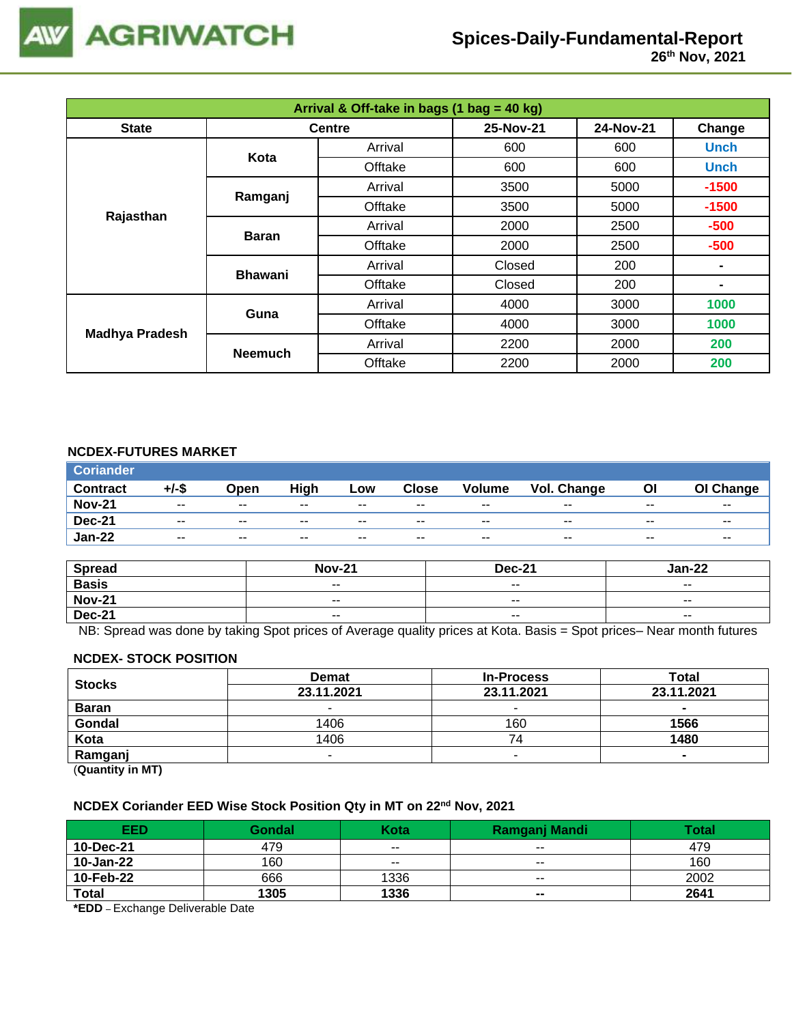

| Arrival & Off-take in bags (1 bag = 40 kg) |                |               |           |           |                |  |  |
|--------------------------------------------|----------------|---------------|-----------|-----------|----------------|--|--|
| <b>State</b>                               |                | <b>Centre</b> | 25-Nov-21 | 24-Nov-21 | Change         |  |  |
|                                            | Kota           | Arrival       | 600       | 600       | <b>Unch</b>    |  |  |
|                                            |                | Offtake       | 600       | 600       | <b>Unch</b>    |  |  |
|                                            | Ramganj        | Arrival       | 3500      | 5000      | $-1500$        |  |  |
|                                            |                | Offtake       | 3500      | 5000      | $-1500$        |  |  |
| Rajasthan                                  | <b>Baran</b>   | Arrival       | 2000      |           | $-500$         |  |  |
|                                            |                | Offtake       | 2000      | 2500      | $-500$         |  |  |
|                                            | <b>Bhawani</b> | Arrival       | Closed    | 200       |                |  |  |
|                                            |                | Offtake       | Closed    | 200       | $\blacksquare$ |  |  |
| <b>Madhya Pradesh</b>                      | Guna           | Arrival       | 4000      | 3000      | 1000           |  |  |
|                                            |                | Offtake       | 4000      | 3000      | 1000           |  |  |
|                                            | <b>Neemuch</b> | Arrival       | 2200      | 2000      | 200            |  |  |
|                                            |                | Offtake       | 2200      | 2000      | 200            |  |  |

## **NCDEX-FUTURES MARKET**

| <b>Coriander</b> |               |                          |       |       |              |               |             |       |                          |
|------------------|---------------|--------------------------|-------|-------|--------------|---------------|-------------|-------|--------------------------|
| <b>Contract</b>  | $+/-$ \$      | Open                     | High  | Low   | <b>Close</b> | <b>Volume</b> | Vol. Change | Οl    | OI Change                |
| <b>Nov-21</b>    | $\sim$ $\sim$ | $\sim$ $\sim$            | $- -$ | $- -$ | $- -$        | $- -$         | $-$         | $- -$ | $- -$                    |
| <b>Dec-21</b>    | $- -$         | $\sim$ $\sim$            | $- -$ | $- -$ | $- -$        | $- -$         | $- -$       | $- -$ | $\overline{\phantom{a}}$ |
| <b>Jan-22</b>    | $- -$         | $\overline{\phantom{a}}$ | $- -$ | $- -$ | $- -$        | $- -$         | $- -$       | $- -$ | $- -$                    |

| <b>Spread</b> | <b>Nov-21</b> | <b>Dec-21</b>            | Jan-22                   |
|---------------|---------------|--------------------------|--------------------------|
| <b>Basis</b>  | $- -$         | $\overline{\phantom{a}}$ | $\overline{\phantom{a}}$ |
| <b>Nov-21</b> | $- -$         | $- -$                    | $- -$                    |
| <b>Dec-21</b> | $- -$         | $\sim$ $\sim$            | $\overline{\phantom{a}}$ |

NB: Spread was done by taking Spot prices of Average quality prices at Kota. Basis = Spot prices– Near month futures

#### **NCDEX- STOCK POSITION**

| <b>Stocks</b>                | <b>Demat</b> | <b>In-Process</b> | Total      |
|------------------------------|--------------|-------------------|------------|
|                              | 23.11.2021   | 23.11.2021        | 23.11.2021 |
| <b>Baran</b>                 |              | -                 |            |
| Gondal                       | 1406         | 160               | 1566       |
| Kota                         | 1406         | '4                | 1480       |
| Ramganj                      |              |                   |            |
| (0.122, 0.012, 0.012, 0.002) |              |                   |            |

(**Quantity in MT)**

#### **NCDEX Coriander EED Wise Stock Position Qty in MT on 22nd Nov, 2021**

| EED          | Gondal | Kota                     | Ramganj Mandi | Total |
|--------------|--------|--------------------------|---------------|-------|
| 10-Dec-21    | 479    | $- -$                    | $- -$         | 479   |
| 10-Jan-22    | 160    | $\overline{\phantom{a}}$ | $- -$         | 160   |
| 10-Feb-22    | 666    | 1336                     | $- -$         | 2002  |
| <b>Total</b> | 1305   | 1336                     | $- -$         | 2641  |